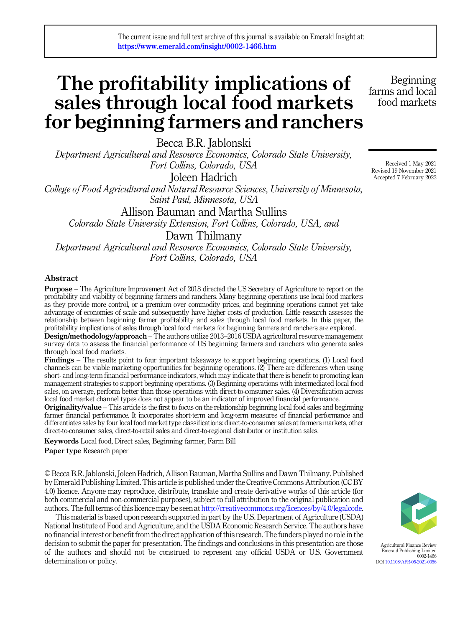The current issue and full text archive of this journal is available on Emerald Insight at: https://www.emerald.com/insight/0002-1466.htm

# The profitability implications of sales through local food markets for beginning farmers and ranchers

Becca B.R. Jablonski

Department Agricultural and Resource Economics, Colorado State University, Fort Collins, Colorado, USA

Joleen Hadrich

College of Food Agricultural and Natural Resource Sciences, University of Minnesota, Saint Paul, Minnesota, USA

Allison Bauman and Martha Sullins

Colorado State University Extension, Fort Collins, Colorado, USA, and

Dawn Thilmany

Department Agricultural and Resource Economics, Colorado State University, Fort Collins, Colorado, USA

#### Abstract

Purpose – The Agriculture Improvement Act of 2018 directed the US Secretary of Agriculture to report on the profitability and viability of beginning farmers and ranchers. Many beginning operations use local food markets as they provide more control, or a premium over commodity prices, and beginning operations cannot yet take advantage of economies of scale and subsequently have higher costs of production. Little research assesses the relationship between beginning farmer profitability and sales through local food markets. In this paper, the profitability implications of sales through local food markets for beginning farmers and ranchers are explored.

Design/methodology/approach – The authors utilize 2013–2016 USDA agricultural resource management survey data to assess the financial performance of US beginning farmers and ranchers who generate sales through local food markets.

Findings – The results point to four important takeaways to support beginning operations. (1) Local food channels can be viable marketing opportunities for beginning operations. (2) There are differences when using short- and long-term financial performance indicators, which may indicate that there is benefit to promoting lean management strategies to support beginning operations. (3) Beginning operations with intermediated local food sales, on average, perform better than those operations with direct-to-consumer sales. (4) Diversification across local food market channel types does not appear to be an indicator of improved financial performance.

Originality/value – This article is the first to focus on the relationship beginning local food sales and beginning farmer financial performance. It incorporates short-term and long-term measures of financial performance and differentiates sales by four local food market type classifications: direct-to-consumer sales at farmers markets, other direct-to-consumer sales, direct-to-retail sales and direct-to-regional distributor or institution sales.

Keywords Local food, Direct sales, Beginning farmer, Farm Bill

Paper type Research paper

© Becca B.R. Jablonski, Joleen Hadrich, Allison Bauman, Martha Sullins and Dawn Thilmany. Published by Emerald Publishing Limited. This article is published under the Creative Commons Attribution (CC BY 4.0) licence. Anyone may reproduce, distribute, translate and create derivative works of this article (for both commercial and non-commercial purposes), subject to full attribution to the original publication and authors. The full terms of this licence may be seen at <http://creativecommons.org/licences/by/4.0/legalcode>.

This material is based upon research supported in part by the U.S. Department of Agriculture (USDA) National Institute of Food and Agriculture, and the USDA Economic Research Service. The authors have no financial interest or benefit from the direct application of this research. The funders played no role in the decision to submit the paper for presentation. The findings and conclusions in this presentation are those of the authors and should not be construed to represent any official USDA or U.S. Government determination or policy.

Received 1 May 2021 Revised 19 November 2021 Accepted 7 February 2022

Beginning farms and local food markets



Agricultural Finance Review Emerald Publishing Limited 0002-1466 DOI [10.1108/AFR-05-2021-0056](https://doi.org/10.1108/AFR-05-2021-0056)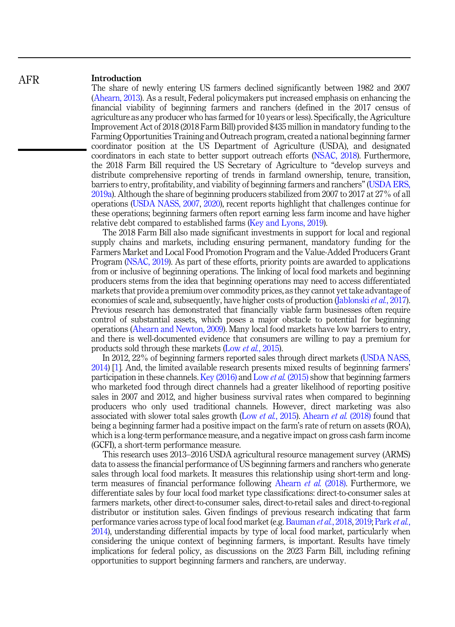#### Introduction AFR

The share of newly entering US farmers declined significantly between 1982 and 2007 ([Ahearn, 2013\)](#page-15-0). As a result, Federal policymakers put increased emphasis on enhancing the financial viability of beginning farmers and ranchers (defined in the 2017 census of agriculture as any producer who has farmed for 10 years or less). Specifically, the Agriculture Improvement Act of 2018 (2018 Farm Bill) provided \$435 million in mandatory funding to the Farming Opportunities Training and Outreach program, created a national beginning farmer coordinator position at the US Department of Agriculture (USDA), and designated coordinators in each state to better support outreach efforts ([NSAC, 2018](#page-16-0)). Furthermore, the 2018 Farm Bill required the US Secretary of Agriculture to "develop surveys and distribute comprehensive reporting of trends in farmland ownership, tenure, transition, barriers to entry, profitability, and viability of beginning farmers and ranchers" [\(USDA ERS,](#page-17-0) [2019a](#page-17-0)). Although the share of beginning producers stabilized from 2007 to 2017 at 27% of all operations [\(USDA NASS, 2007](#page-17-0), [2020\)](#page-17-0), recent reports highlight that challenges continue for these operations; beginning farmers often report earning less farm income and have higher relative debt compared to established farms ([Key and Lyons, 2019](#page-16-0)).

The 2018 Farm Bill also made significant investments in support for local and regional supply chains and markets, including ensuring permanent, mandatory funding for the Farmers Market and Local Food Promotion Program and the Value-Added Producers Grant Program [\(NSAC, 2019](#page-16-0)). As part of these efforts, priority points are awarded to applications from or inclusive of beginning operations. The linking of local food markets and beginning producers stems from the idea that beginning operations may need to access differentiated markets that provide a premium over commodity prices, as they cannot yet take advantage of economies of scale and, subsequently, have higher costs of production [\(Jablonski](#page-16-0) *et al.*, 2017). Previous research has demonstrated that financially viable farm businesses often require control of substantial assets, which poses a major obstacle to potential for beginning operations ([Ahearn and Newton, 2009](#page-15-0)). Many local food markets have low barriers to entry, and there is well-documented evidence that consumers are willing to pay a premium for products sold through these markets (Low *et al.*[, 2015\)](#page-16-0).

In 2012, 22% of beginning farmers reported sales through direct markets ([USDA NASS,](#page-17-0) [2014\)](#page-17-0) [\[1\]](#page-14-0). And, the limited available research presents mixed results of beginning farmers' participation in these channels. [Key \(2016\)](#page-16-0) and Low et al. [\(2015\)](#page-16-0) show that beginning farmers who marketed food through direct channels had a greater likelihood of reporting positive sales in 2007 and 2012, and higher business survival rates when compared to beginning producers who only used traditional channels. However, direct marketing was also associated with slower total sales growth (Low et al.[, 2015](#page-16-0)). [Ahearn](#page-15-0) et al. (2018) found that being a beginning farmer had a positive impact on the farm's rate of return on assets (ROA), which is a long-term performance measure, and a negative impact on gross cash farm income (GCFI), a short-term performance measure.

This research uses 2013–2016 USDA agricultural resource management survey (ARMS) data to assess the financial performance of US beginning farmers and ranchers who generate sales through local food markets. It measures this relationship using short-term and longterm measures of financial performance following [Ahearn](#page-15-0) et al. (2018). Furthermore, we differentiate sales by four local food market type classifications: direct-to-consumer sales at farmers markets, other direct-to-consumer sales, direct-to-retail sales and direct-to-regional distributor or institution sales. Given findings of previous research indicating that farm performance varies across type of local food market (e.g. [Bauman](#page-15-0) et al., 2018, [2019](#page-15-0); [Park](#page-16-0) et al., [2014\)](#page-16-0), understanding differential impacts by type of local food market, particularly when considering the unique context of beginning farmers, is important. Results have timely implications for federal policy, as discussions on the 2023 Farm Bill, including refining opportunities to support beginning farmers and ranchers, are underway.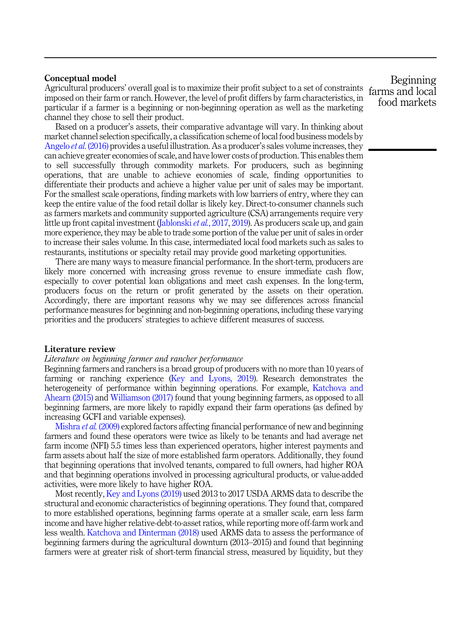### Conceptual model

Agricultural producers' overall goal is to maximize their profit subject to a set of constraints farms and local imposed on their farm or ranch. However, the level of profit differs by farm characteristics, in particular if a farmer is a beginning or non-beginning operation as well as the marketing channel they chose to sell their product.

Based on a producer's assets, their comparative advantage will vary. In thinking about market channel selection specifically, a classification scheme of local food business models by [Angelo](#page-15-0) et al. (2016) provides a useful illustration. As a producer's sales volume increases, they can achieve greater economies of scale, and have lower costs of production. This enables them to sell successfully through commodity markets. For producers, such as beginning operations, that are unable to achieve economies of scale, finding opportunities to differentiate their products and achieve a higher value per unit of sales may be important. For the smallest scale operations, finding markets with low barriers of entry, where they can keep the entire value of the food retail dollar is likely key. Direct-to-consumer channels such as farmers markets and community supported agriculture (CSA) arrangements require very little up front capital investment ([Jablonski](#page-16-0) *et al.*, 2017, [2019](#page-16-0)). As producers scale up, and gain more experience, they may be able to trade some portion of the value per unit of sales in order to increase their sales volume. In this case, intermediated local food markets such as sales to restaurants, institutions or specialty retail may provide good marketing opportunities.

There are many ways to measure financial performance. In the short-term, producers are likely more concerned with increasing gross revenue to ensure immediate cash flow, especially to cover potential loan obligations and meet cash expenses. In the long-term, producers focus on the return or profit generated by the assets on their operation. Accordingly, there are important reasons why we may see differences across financial performance measures for beginning and non-beginning operations, including these varying priorities and the producers' strategies to achieve different measures of success.

#### Literature review

#### Literature on beginning farmer and rancher performance

Beginning farmers and ranchers is a broad group of producers with no more than 10 years of farming or ranching experience ([Key and Lyons, 2019](#page-16-0)). Research demonstrates the heterogeneity of performance within beginning operations. For example, [Katchova and](#page-16-0) [Ahearn \(2015\)](#page-16-0) and [Williamson \(2017\)](#page-17-0) found that young beginning farmers, as opposed to all beginning farmers, are more likely to rapidly expand their farm operations (as defined by increasing GCFI and variable expenses).

[Mishra](#page-16-0) et al. (2009) explored factors affecting financial performance of new and beginning farmers and found these operators were twice as likely to be tenants and had average net farm income (NFI) 5.5 times less than experienced operators, higher interest payments and farm assets about half the size of more established farm operators. Additionally, they found that beginning operations that involved tenants, compared to full owners, had higher ROA and that beginning operations involved in processing agricultural products, or value-added activities, were more likely to have higher ROA.

Most recently, [Key and Lyons \(2019\)](#page-16-0) used 2013 to 2017 USDA ARMS data to describe the structural and economic characteristics of beginning operations. They found that, compared to more established operations, beginning farms operate at a smaller scale, earn less farm income and have higher relative-debt-to-asset ratios, while reporting more off-farm work and less wealth. [Katchova and Dinterman \(2018\)](#page-16-0) used ARMS data to assess the performance of beginning farmers during the agricultural downturn (2013–2015) and found that beginning farmers were at greater risk of short-term financial stress, measured by liquidity, but they

Beginning food markets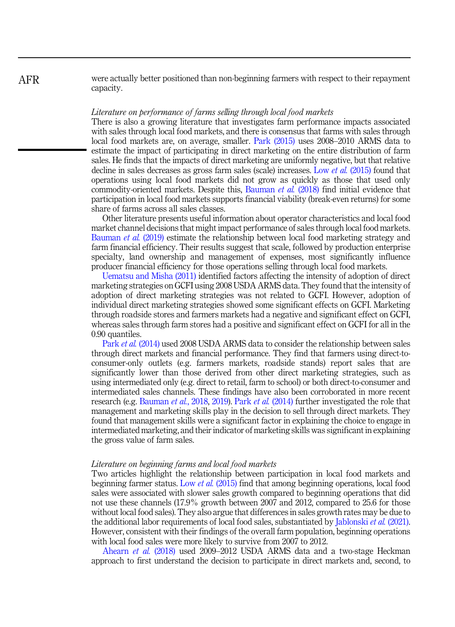were actually better positioned than non-beginning farmers with respect to their repayment capacity.

#### Literature on performance of farms selling through local food markets

There is also a growing literature that investigates farm performance impacts associated with sales through local food markets, and there is consensus that farms with sales through local food markets are, on average, smaller. [Park \(2015\)](#page-16-0) uses 2008–2010 ARMS data to estimate the impact of participating in direct marketing on the entire distribution of farm sales. He finds that the impacts of direct marketing are uniformly negative, but that relative decline in sales decreases as gross farm sales (scale) increases. Low *et al.* [\(2015\)](#page-16-0) found that operations using local food markets did not grow as quickly as those that used only commodity-oriented markets. Despite this, [Bauman](#page-15-0) *et al.* (2018) find initial evidence that participation in local food markets supports financial viability (break-even returns) for some share of farms across all sales classes.

Other literature presents useful information about operator characteristics and local food market channel decisions that might impact performance of sales through local food markets. [Bauman](#page-15-0) *et al.* (2019) estimate the relationship between local food marketing strategy and farm financial efficiency. Their results suggest that scale, followed by production enterprise specialty, land ownership and management of expenses, most significantly influence producer financial efficiency for those operations selling through local food markets.

[Uematsu and Misha \(2011\)](#page-17-0) identified factors affecting the intensity of adoption of direct marketing strategies on GCFI using 2008 USDA ARMS data. They found that the intensity of adoption of direct marketing strategies was not related to GCFI. However, adoption of individual direct marketing strategies showed some significant effects on GCFI. Marketing through roadside stores and farmers markets had a negative and significant effect on GCFI, whereas sales through farm stores had a positive and significant effect on GCFI for all in the 0.90 quantiles.

Park et al. [\(2014\)](#page-16-0) used 2008 USDA ARMS data to consider the relationship between sales through direct markets and financial performance. They find that farmers using direct-toconsumer-only outlets (e.g. farmers markets, roadside stands) report sales that are significantly lower than those derived from other direct marketing strategies, such as using intermediated only (e.g. direct to retail, farm to school) or both direct-to-consumer and intermediated sales channels. These findings have also been corroborated in more recent research (e.g. [Bauman](#page-15-0) *et al.*, 2018, [2019\)](#page-15-0). Park *et al.* [\(2014\)](#page-16-0) further investigated the role that management and marketing skills play in the decision to sell through direct markets. They found that management skills were a significant factor in explaining the choice to engage in intermediated marketing, and their indicator of marketing skills was significant in explaining the gross value of farm sales.

#### Literature on beginning farms and local food markets

Two articles highlight the relationship between participation in local food markets and beginning farmer status. Low et al. [\(2015\)](#page-16-0) find that among beginning operations, local food sales were associated with slower sales growth compared to beginning operations that did not use these channels (17.9% growth between 2007 and 2012, compared to 25.6 for those without local food sales). They also argue that differences in sales growth rates may be due to the additional labor requirements of local food sales, substantiated by [Jablonski](#page-16-0) et al. (2021). However, consistent with their findings of the overall farm population, beginning operations with local food sales were more likely to survive from 2007 to 2012.

[Ahearn](#page-15-0) et al. (2018) used 2009–2012 USDA ARMS data and a two-stage Heckman approach to first understand the decision to participate in direct markets and, second, to

## AFR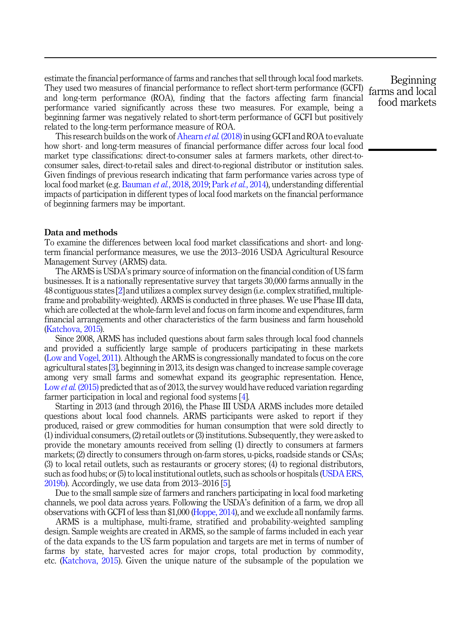estimate the financial performance of farms and ranches that sell through local food markets. They used two measures of financial performance to reflect short-term performance (GCFI) and long-term performance (ROA), finding that the factors affecting farm financial performance varied significantly across these two measures. For example, being a beginning farmer was negatively related to short-term performance of GCFI but positively related to the long-term performance measure of ROA.

This research builds on the work of [Ahearn](#page-15-0) et al. (2018) in using GCFI and ROA to evaluate how short- and long-term measures of financial performance differ across four local food market type classifications: direct-to-consumer sales at farmers markets, other direct-toconsumer sales, direct-to-retail sales and direct-to-regional distributor or institution sales. Given findings of previous research indicating that farm performance varies across type of local food market (e.g. [Bauman](#page-15-0) et al., 2018, [2019](#page-15-0); Park et al.[, 2014\)](#page-16-0), understanding differential impacts of participation in different types of local food markets on the financial performance of beginning farmers may be important.

#### Data and methods

To examine the differences between local food market classifications and short- and longterm financial performance measures, we use the 2013–2016 USDA Agricultural Resource Management Survey (ARMS) data.

The ARMS is USDA's primary source of information on the financial condition of US farm businesses. It is a nationally representative survey that targets 30,000 farms annually in the 48 contiguous states [\[2\]](#page-14-0) and utilizes a complex survey design (i.e. complex stratified, multipleframe and probability-weighted). ARMS is conducted in three phases. We use Phase III data, which are collected at the whole-farm level and focus on farm income and expenditures, farm financial arrangements and other characteristics of the farm business and farm household ([Katchova, 2015\)](#page-16-0).

Since 2008, ARMS has included questions about farm sales through local food channels and provided a sufficiently large sample of producers participating in these markets ([Low and Vogel, 2011](#page-16-0)). Although the ARMS is congressionally mandated to focus on the core agricultural states [[3](#page-14-0)], beginning in 2013, its design was changed to increase sample coverage among very small farms and somewhat expand its geographic representation. Hence, Low *et al.* [\(2015\)](#page-16-0) predicted that as of 2013, the survey would have reduced variation regarding farmer participation in local and regional food systems [[4](#page-15-0)].

Starting in 2013 (and through 2016), the Phase III USDA ARMS includes more detailed questions about local food channels. ARMS participants were asked to report if they produced, raised or grew commodities for human consumption that were sold directly to (1) individual consumers, (2) retail outlets or (3) institutions. Subsequently, they were asked to provide the monetary amounts received from selling (1) directly to consumers at farmers markets; (2) directly to consumers through on-farm stores, u-picks, roadside stands or CSAs; (3) to local retail outlets, such as restaurants or grocery stores; (4) to regional distributors, such as food hubs; or (5) to local institutional outlets, such as schools or hospitals [\(USDA ERS,](#page-17-0) [2019b\)](#page-17-0). Accordingly, we use data from 2013–2016 [\[5\]](#page-15-0).

Due to the small sample size of farmers and ranchers participating in local food marketing channels, we pool data across years. Following the USDA's definition of a farm, we drop all observations with GCFI of less than \$1,000 ([Hoppe, 2014\)](#page-15-0), and we exclude all nonfamily farms.

ARMS is a multiphase, multi-frame, stratified and probability-weighted sampling design. Sample weights are created in ARMS, so the sample of farms included in each year of the data expands to the US farm population and targets are met in terms of number of farms by state, harvested acres for major crops, total production by commodity, etc. [\(Katchova, 2015](#page-16-0)). Given the unique nature of the subsample of the population we

Beginning farms and local food markets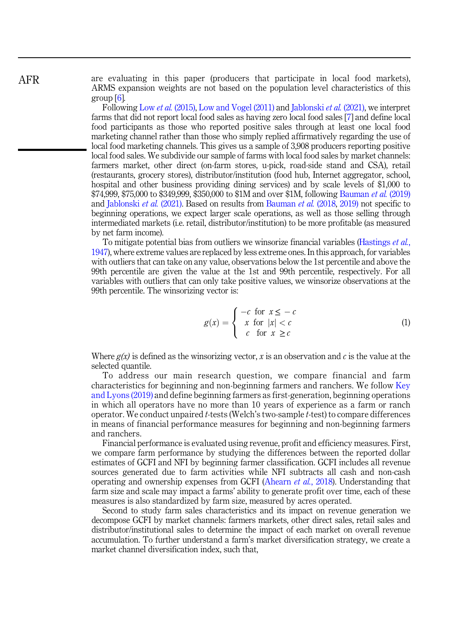are evaluating in this paper (producers that participate in local food markets), ARMS expansion weights are not based on the population level characteristics of this group [\[6\]](#page-15-0).

Following Low et al. [\(2015\),](#page-16-0) [Low and Vogel \(2011\)](#page-16-0) and [Jablonski](#page-16-0) et al. (2021), we interpret farms that did not report local food sales as having zero local food sales [\[7\]](#page-15-0) and define local food participants as those who reported positive sales through at least one local food marketing channel rather than those who simply replied affirmatively regarding the use of local food marketing channels. This gives us a sample of 3,908 producers reporting positive local food sales. We subdivide our sample of farms with local food sales by market channels: farmers market, other direct (on-farm stores, u-pick, road-side stand and CSA), retail (restaurants, grocery stores), distributor/institution (food hub, Internet aggregator, school, hospital and other business providing dining services) and by scale levels of \$1,000 to \$74,999, \$75,000 to \$349,999, \$350,000 to \$1M and over \$1M, following [Bauman](#page-15-0) et al. (2019) and [Jablonski](#page-16-0) et al. (2021). Based on results from [Bauman](#page-15-0) et al. (2018, [2019\)](#page-15-0) not specific to beginning operations, we expect larger scale operations, as well as those selling through intermediated markets (i.e. retail, distributor/institution) to be more profitable (as measured by net farm income).

To mitigate potential bias from outliers we winsorize financial variables ([Hastings](#page-15-0) *et al.*, [1947\)](#page-15-0), where extreme values are replaced by less extreme ones. In this approach, for variables with outliers that can take on any value, observations below the 1st percentile and above the 99th percentile are given the value at the 1st and 99th percentile, respectively. For all variables with outliers that can only take positive values, we winsorize observations at the 99th percentile. The winsorizing vector is:

$$
g(x) = \begin{cases} -c & \text{for } x \leq -c \\ x & \text{for } |x| < c \\ c & \text{for } x \geq c \end{cases} \tag{1}
$$

Where  $g(x)$  is defined as the winsorizing vector, x is an observation and c is the value at the selected quantile.

To address our main research question, we compare financial and farm characteristics for beginning and non-beginning farmers and ranchers. We follow [Key](#page-16-0) [and Lyons \(2019\)](#page-16-0) and define beginning farmers as first-generation, beginning operations in which all operators have no more than 10 years of experience as a farm or ranch operator. We conduct unpaired  $t$ -tests (Welch's two-sample  $t$ -test) to compare differences in means of financial performance measures for beginning and non-beginning farmers and ranchers.

Financial performance is evaluated using revenue, profit and efficiency measures. First, we compare farm performance by studying the differences between the reported dollar estimates of GCFI and NFI by beginning farmer classification. GCFI includes all revenue sources generated due to farm activities while NFI subtracts all cash and non-cash operating and ownership expenses from GCFI ([Ahearn](#page-15-0) et al., 2018). Understanding that farm size and scale may impact a farms' ability to generate profit over time, each of these measures is also standardized by farm size, measured by acres operated.

Second to study farm sales characteristics and its impact on revenue generation we decompose GCFI by market channels: farmers markets, other direct sales, retail sales and distributor/institutional sales to determine the impact of each market on overall revenue accumulation. To further understand a farm's market diversification strategy, we create a market channel diversification index, such that,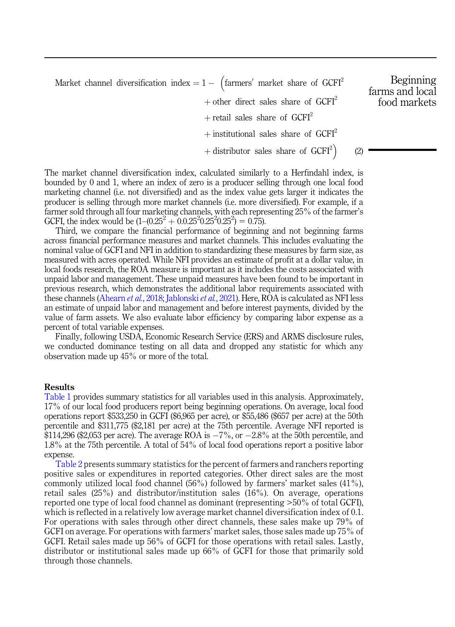Market channel diversification index  $= 1 -$  (farmers' market share of GCFI<sup>2</sup> + other direct sales share of  $GCFI<sup>2</sup>$ + retail sales share of  $GCFI<sup>2</sup>$ + institutional sales share of  $GCFI<sup>2</sup>$ + distributor sales share of  $GCFI<sup>2</sup>$ )

The market channel diversification index, calculated similarly to a Herfindahl index, is bounded by 0 and 1, where an index of zero is a producer selling through one local food marketing channel (i.e. not diversified) and as the index value gets larger it indicates the producer is selling through more market channels (i.e. more diversified). For example, if a farmer sold through all four marketing channels, with each representing 25% of the farmer's GCFI, the index would be  $(1-(0.25^2 + 0.0.25^2 0.25^2 0.25^2)) = 0.75$ .

Third, we compare the financial performance of beginning and not beginning farms across financial performance measures and market channels. This includes evaluating the nominal value of GCFI and NFI in addition to standardizing these measures by farm size, as measured with acres operated. While NFI provides an estimate of profit at a dollar value, in local foods research, the ROA measure is important as it includes the costs associated with unpaid labor and management. These unpaid measures have been found to be important in previous research, which demonstrates the additional labor requirements associated with these channels ([Ahearn](#page-15-0) *et al.*, 2018; [Jablonski](#page-16-0) *et al.*, 2021). Here, ROA is calculated as NFI less an estimate of unpaid labor and management and before interest payments, divided by the value of farm assets. We also evaluate labor efficiency by comparing labor expense as a percent of total variable expenses.

Finally, following USDA, Economic Research Service (ERS) and ARMS disclosure rules, we conducted dominance testing on all data and dropped any statistic for which any observation made up 45% or more of the total.

#### Results

[Table 1](#page-7-0) provides summary statistics for all variables used in this analysis. Approximately, 17% of our local food producers report being beginning operations. On average, local food operations report \$533,250 in GCFI (\$6,965 per acre), or \$55,486 (\$657 per acre) at the 50th percentile and \$311,775 (\$2,181 per acre) at the 75th percentile. Average NFI reported is \$114,296 (\$2,053 per acre). The average ROA is  $-7\%$ , or  $-2.8\%$  at the 50th percentile, and 1.8% at the 75th percentile. A total of 54% of local food operations report a positive labor expense.

[Table 2](#page-7-0) presents summary statistics for the percent of farmers and ranchers reporting positive sales or expenditures in reported categories. Other direct sales are the most commonly utilized local food channel (56%) followed by farmers' market sales (41%), retail sales (25%) and distributor/institution sales (16%). On average, operations reported one type of local food channel as dominant (representing >50% of total GCFI), which is reflected in a relatively low average market channel diversification index of 0.1. For operations with sales through other direct channels, these sales make up 79% of GCFI on average. For operations with farmers' market sales, those sales made up 75% of GCFI. Retail sales made up 56% of GCFI for those operations with retail sales. Lastly, distributor or institutional sales made up 66% of GCFI for those that primarily sold through those channels.

Beginning farms and local food markets

(2)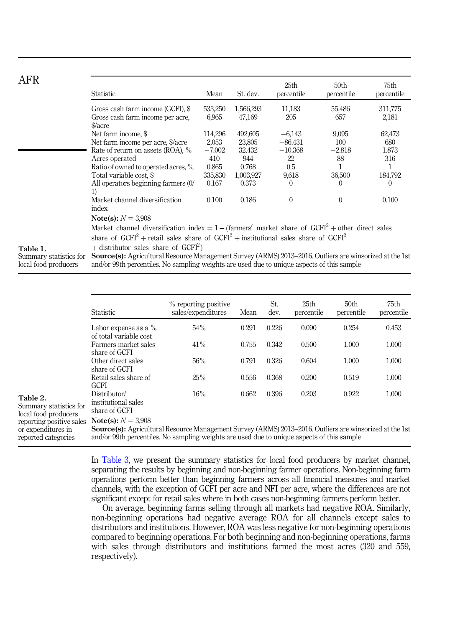<span id="page-7-0"></span>

| AFR                                            | Statistic                                                                                                                                                                                                    | Mean                     | St. dev.               | 25th<br>percentile     | 50th<br>percentile | 75th<br>percentile      |  |  |
|------------------------------------------------|--------------------------------------------------------------------------------------------------------------------------------------------------------------------------------------------------------------|--------------------------|------------------------|------------------------|--------------------|-------------------------|--|--|
|                                                | Gross cash farm income (GCFI), \$<br>Gross cash farm income per acre,<br>$\frac{\text{g}}{\text{arc}}$                                                                                                       | 533,250<br>6,965         | 1,566,293<br>47,169    | 11,183<br>205          | 55,486<br>657      | 311,775<br>2,181        |  |  |
|                                                | Net farm income, \$<br>Net farm income per acre, \$/acre                                                                                                                                                     | 114,296<br>2,053         | 492,605<br>23,805      | $-6,143$<br>$-86.431$  | 9,095<br>100       | 62,473<br>680           |  |  |
|                                                | Rate of return on assets (ROA), %<br>Acres operated<br>Ratio of owned to operated acres, %                                                                                                                   | $-7.002$<br>410<br>0.865 | 32.432<br>944<br>0.768 | $-10.368$<br>22<br>0.5 | $-2.818$<br>88     | 1.873<br>316<br>1       |  |  |
|                                                | Total variable cost, \$<br>All operators beginning farmers (0/<br>1)                                                                                                                                         | 335,830<br>0.167         | 1,003,927<br>0.373     | 9,618<br>$\mathbf{0}$  | 36,500<br>$\left($ | 184,792<br>$\mathbf{0}$ |  |  |
|                                                | Market channel diversification<br>index                                                                                                                                                                      | 0.100                    | 0.186                  | $\mathbf{0}$           | $\Omega$           | 0.100                   |  |  |
|                                                | Note(s): $N = 3.908$<br>Market channel diversification index = $1 - (\text{farmers}' \text{ market share of GCFI}^2 + \text{other direct sales})$                                                            |                          |                        |                        |                    |                         |  |  |
| Table 1.                                       | share of $GCFI2 + \text{retail sales share of } GCFI2 + \text{institutional sales share of } GCFI2$<br>$+$ distributor sales share of GCFI <sup>2</sup> )                                                    |                          |                        |                        |                    |                         |  |  |
| Summary statistics for<br>local food producers | <b>Source(s):</b> Agricultural Resource Management Survey (ARMS) 2013–2016. Outliers are winsorized at the 1st<br>and/or 99th percentiles. No sampling weights are used due to unique aspects of this sample |                          |                        |                        |                    |                         |  |  |

|                                                                       | <b>Statistic</b>                                                                                                                                                                                                                     | % reporting positive<br>sales/expenditures | Mean  | St.<br>dev. | 25 <sub>th</sub><br>percentile | 50 <sub>th</sub><br>percentile | 75th<br>percentile |
|-----------------------------------------------------------------------|--------------------------------------------------------------------------------------------------------------------------------------------------------------------------------------------------------------------------------------|--------------------------------------------|-------|-------------|--------------------------------|--------------------------------|--------------------|
|                                                                       | Labor expense as a $\%$<br>of total variable cost                                                                                                                                                                                    | 54%                                        | 0.291 | 0.226       | 0.090                          | 0.254                          | 0.453              |
|                                                                       | Farmers market sales<br>share of GCFI                                                                                                                                                                                                | 41%                                        | 0.755 | 0.342       | 0.500                          | 1.000                          | 1.000              |
|                                                                       | Other direct sales<br>share of GCFI                                                                                                                                                                                                  | 56%                                        | 0.791 | 0.326       | 0.604                          | 1.000                          | 1.000              |
|                                                                       | Retail sales share of<br><b>GCFI</b>                                                                                                                                                                                                 | 25%                                        | 0.556 | 0.368       | 0.200                          | 0.519                          | 1.000              |
| Table 2.<br>Summary statistics for<br>local food producers            | Distributor/<br>institutional sales<br>share of GCFI                                                                                                                                                                                 | 16%                                        | 0.662 | 0.396       | 0.203                          | 0.922                          | 1.000              |
| reporting positive sales<br>or expenditures in<br>reported categories | Note(s): $N = 3.908$<br><b>Source(s):</b> Agricultural Resource Management Survey (ARMS) 2013–2016. Outliers are winsorized at the 1st<br>and/or 99th percentiles. No sampling weights are used due to unique aspects of this sample |                                            |       |             |                                |                                |                    |

In [Table 3](#page-8-0), we present the summary statistics for local food producers by market channel, separating the results by beginning and non-beginning farmer operations. Non-beginning farm operations perform better than beginning farmers across all financial measures and market channels, with the exception of GCFI per acre and NFI per acre, where the differences are not significant except for retail sales where in both cases non-beginning farmers perform better.

On average, beginning farms selling through all markets had negative ROA. Similarly, non-beginning operations had negative average ROA for all channels except sales to distributors and institutions. However, ROA was less negative for non-beginning operations compared to beginning operations. For both beginning and non-beginning operations, farms with sales through distributors and institutions farmed the most acres (320 and 559, respectively).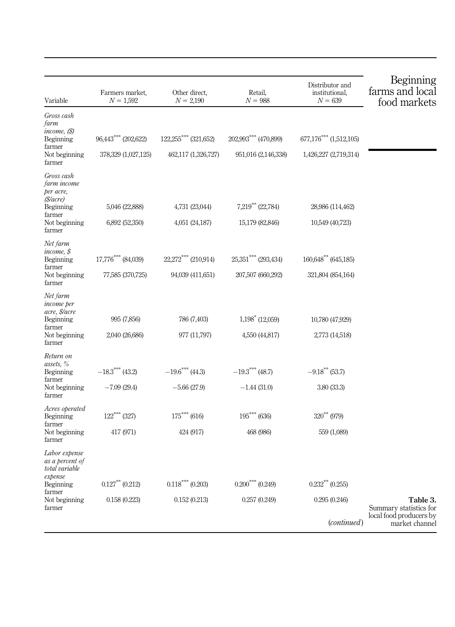<span id="page-8-0"></span>

| Variable                                                      | Farmers market,<br>$N = 1,592$ | Other direct,<br>$N = 2,190$      | Retail,<br>$N = 988$          | Distributor and<br>institutional,<br>$N = 639$ | Beginning<br>farms and local<br>food markets |
|---------------------------------------------------------------|--------------------------------|-----------------------------------|-------------------------------|------------------------------------------------|----------------------------------------------|
| Gross cash<br>farm<br>income, (\$)                            |                                |                                   |                               |                                                |                                              |
| Beginning<br>farmer                                           | $96,443***$ (202,622)          | 122,255*** (321,652)              | 202,993*** (470,899)          | $677,176***$ $(1,512,105)$                     |                                              |
| Not beginning<br>farmer                                       | 378,329 (1,027,125)            | 462,117 (1,326,727)               | 951,016 (2,146,338)           | 1,426,227 (2,719,314)                          |                                              |
| Gross cash<br>farm income<br>per acre,<br>(\$/acre)           |                                |                                   |                               |                                                |                                              |
| Beginning                                                     | 5,046 (22,888)                 | 4,731 (23,044)                    | $7,219$ (22,784)              | 28,986 (114,462)                               |                                              |
| farmer<br>Not beginning<br>farmer                             | 6,892 (52,350)                 | 4,051 (24,187)                    | 15,179 (82,846)               | 10,549 (40,723)                                |                                              |
| Net farm<br>income, \$<br>Beginning<br>farmer                 | 17,776 **** (84,039)           | $22,272$ <sup>***</sup> (210,914) | $25,351$ (293,434)            | $160,648$ (645,185)                            |                                              |
| Not beginning<br>farmer                                       | 77,585 (370,725)               | 94,039 (411,651)                  | 207,507 (660,292)             | 321,804 (854,164)                              |                                              |
| Net farm<br><i>income</i> per<br>acre, \$/acre<br>Beginning   | 995 (7,856)                    | 786 (7,403)                       | $1,198$ (12,059)              | 10,780 (47,929)                                |                                              |
| farmer<br>Not beginning<br>farmer                             | 2,040 (26,686)                 | 977 (11,797)                      | 4,550 (44,817)                | 2,773 (14,518)                                 |                                              |
| Return on<br>assets, %                                        |                                |                                   |                               |                                                |                                              |
| Beginning                                                     | $-18.3$ <sup>****</sup> (43.2) | $-19.6$ *** (44.3)                | $-19.3$ <sup>***</sup> (48.7) | $-9.18***$ (53.7)                              |                                              |
| farmer<br>Not beginning<br>farmer                             | $-7.09(29.4)$                  | $-5.66(27.9)$                     | $-1.44(31.0)$                 | 3.80(33.3)                                     |                                              |
| Acres operated<br>Beginning                                   | $122^{***}$ (327)              | $175***(616)$                     | $195***$ (636)                | $320^{***}$ (979)                              |                                              |
| farmer<br>Not beginning<br>farmer                             | 417 (971)                      | 424 (917)                         | 468 (986)                     | 559 (1,089)                                    |                                              |
| Labor expense<br>as a percent of<br>total variable<br>expense |                                |                                   |                               |                                                |                                              |
| Beginning<br>farmer                                           | $0.127***$ $(0.212)$           | $0.118***(0.203)$                 | $0.200^{***}$ (0.249)         | $0.232***$ (0.255)                             |                                              |
| Not beginning<br>farmer                                       | 0.158(0.223)                   | 0.152(0.213)                      | 0.257(0.249)                  | 0.295(0.246)                                   | Table 3.<br>Summary statistics for           |
|                                                               |                                |                                   |                               | (continued)                                    | local food producers by<br>market channel    |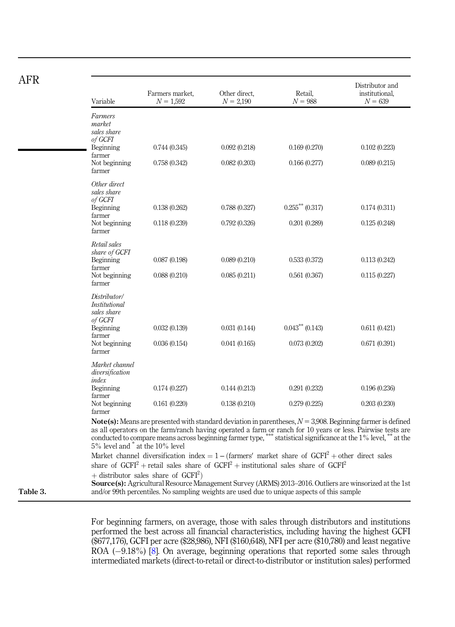|--|

| Variable                                                | Farmers market,<br>$N = 1,592$ | Other direct,<br>$N = 2,190$ | Retail,<br>$N = 988$                                                                                                                                                                                                                                                                                                                                     | Distributor and<br>institutional,<br>$N = 639$ |
|---------------------------------------------------------|--------------------------------|------------------------------|----------------------------------------------------------------------------------------------------------------------------------------------------------------------------------------------------------------------------------------------------------------------------------------------------------------------------------------------------------|------------------------------------------------|
| Farmers<br>market<br>sales share<br>of GCFI             |                                |                              |                                                                                                                                                                                                                                                                                                                                                          |                                                |
| Beginning<br>farmer                                     | 0.744(0.345)                   | 0.092(0.218)                 | 0.169(0.270)                                                                                                                                                                                                                                                                                                                                             | 0.102(0.223)                                   |
| Not beginning<br>farmer                                 | 0.758(0.342)                   | 0.082(0.203)                 | 0.166(0.277)                                                                                                                                                                                                                                                                                                                                             | 0.089(0.215)                                   |
| Other direct<br>sales share<br>of GCFI                  |                                |                              |                                                                                                                                                                                                                                                                                                                                                          |                                                |
| Beginning<br>farmer                                     | 0.138(0.262)                   | 0.788(0.327)                 | $0.255$ <sup>**</sup> $(0.317)$                                                                                                                                                                                                                                                                                                                          | 0.174(0.311)                                   |
| Not beginning<br>farmer                                 | 0.118(0.239)                   | 0.792(0.326)                 | 0.201(0.289)                                                                                                                                                                                                                                                                                                                                             | 0.125(0.248)                                   |
| Retail sales<br>share of GCFI                           |                                |                              |                                                                                                                                                                                                                                                                                                                                                          |                                                |
| Beginning<br>farmer                                     | 0.087(0.198)                   | 0.089(0.210)                 | 0.533(0.372)                                                                                                                                                                                                                                                                                                                                             | 0.113(0.242)                                   |
| Not beginning<br>farmer                                 | 0.088(0.210)                   | 0.085(0.211)                 | 0.561(0.367)                                                                                                                                                                                                                                                                                                                                             | 0.115(0.227)                                   |
| Distributor/<br>Institutional<br>sales share<br>of GCFI |                                |                              |                                                                                                                                                                                                                                                                                                                                                          |                                                |
| Beginning<br>farmer                                     | 0.032(0.139)                   | 0.031(0.144)                 | $0.043***$ (0.143)                                                                                                                                                                                                                                                                                                                                       | 0.611(0.421)                                   |
| Not beginning<br>farmer                                 | 0.036(0.154)                   | 0.041(0.165)                 | 0.073(0.202)                                                                                                                                                                                                                                                                                                                                             | 0.671(0.391)                                   |
| Market channel<br>diversification<br>index              |                                |                              |                                                                                                                                                                                                                                                                                                                                                          |                                                |
| Beginning<br>farmer                                     | 0.174(0.227)                   | 0.144(0.213)                 | 0.291(0.232)                                                                                                                                                                                                                                                                                                                                             | 0.196(0.236)                                   |
| Not beginning<br>farmer                                 | 0.161(0.220)                   | 0.138(0.210)                 | 0.279(0.225)                                                                                                                                                                                                                                                                                                                                             | 0.203(0.230)                                   |
| 5% level and $*$ at the 10% level                       |                                |                              | <b>Note(s):</b> Means are presented with standard deviation in parentheses, $N = 3,908$ . Beginning farmer is defined<br>as all operators on the farm/ranch having operated a farm or ranch for 10 years or less. Pairwise tests are<br>conducted to compare means across beginning farmer type, *** statistical significance at the 1% level, ** at the |                                                |

+ distributor sales share of  $GCFI<sup>2</sup>$ )

Source(s): Agricultural Resource Management Survey (ARMS) 2013-2016. Outliers are winsorized at the 1st Table 3. and/or 99th percentiles. No sampling weights are used due to unique aspects of this sample

> For beginning farmers, on average, those with sales through distributors and institutions performed the best across all financial characteristics, including having the highest GCFI (\$677,176), GCFI per acre (\$28,986), NFI (\$160,648), NFI per acre (\$10,780) and least negative ROA (-9.18%) [\[8\]](#page-15-0). On average, beginning operations that reported some sales through intermediated markets (direct-to-retail or direct-to-distributor or institution sales) performed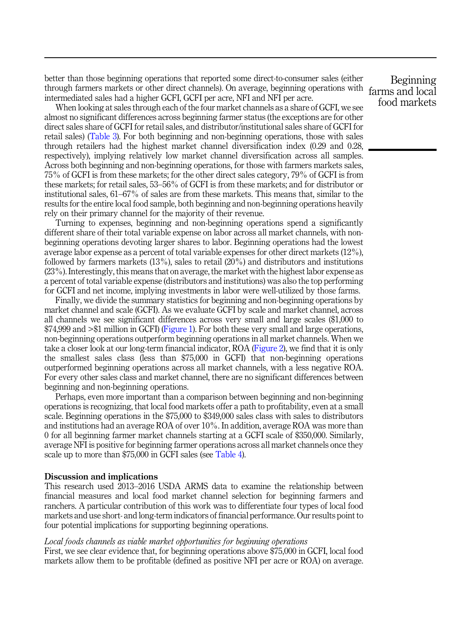better than those beginning operations that reported some direct-to-consumer sales (either through farmers markets or other direct channels). On average, beginning operations with farms and local intermediated sales had a higher GCFI, GCFI per acre, NFI and NFI per acre.

When looking at sales through each of the four market channels as a share of GCFI, we see almost no significant differences across beginning farmer status (the exceptions are for other direct sales share of GCFI for retail sales, and distributor/institutional sales share of GCFI for retail sales) [\(Table 3\)](#page-8-0). For both beginning and non-beginning operations, those with sales through retailers had the highest market channel diversification index (0.29 and 0.28, respectively), implying relatively low market channel diversification across all samples. Across both beginning and non-beginning operations, for those with farmers markets sales, 75% of GCFI is from these markets; for the other direct sales category, 79% of GCFI is from these markets; for retail sales, 53–56% of GCFI is from these markets; and for distributor or institutional sales, 61–67% of sales are from these markets. This means that, similar to the results for the entire local food sample, both beginning and non-beginning operations heavily rely on their primary channel for the majority of their revenue.

Turning to expenses, beginning and non-beginning operations spend a significantly different share of their total variable expense on labor across all market channels, with nonbeginning operations devoting larger shares to labor. Beginning operations had the lowest average labor expense as a percent of total variable expenses for other direct markets (12%), followed by farmers markets (13%), sales to retail (20%) and distributors and institutions (23%). Interestingly, this means that on average, the market with the highest labor expense as a percent of total variable expense (distributors and institutions) was also the top performing for GCFI and net income, implying investments in labor were well-utilized by those farms.

Finally, we divide the summary statistics for beginning and non-beginning operations by market channel and scale (GCFI). As we evaluate GCFI by scale and market channel, across all channels we see significant differences across very small and large scales (\$1,000 to \$74,999 and >\$1 million in GCFI) ([Figure 1](#page-11-0)). For both these very small and large operations, non-beginning operations outperform beginning operations in all market channels. When we take a closer look at our long-term financial indicator, ROA ([Figure 2](#page-12-0)), we find that it is only the smallest sales class (less than \$75,000 in GCFI) that non-beginning operations outperformed beginning operations across all market channels, with a less negative ROA. For every other sales class and market channel, there are no significant differences between beginning and non-beginning operations.

Perhaps, even more important than a comparison between beginning and non-beginning operations is recognizing, that local food markets offer a path to profitability, even at a small scale. Beginning operations in the \$75,000 to \$349,000 sales class with sales to distributors and institutions had an average ROA of over 10%. In addition, average ROA was more than 0 for all beginning farmer market channels starting at a GCFI scale of \$350,000. Similarly, average NFI is positive for beginning farmer operations across all market channels once they scale up to more than \$75,000 in GCFI sales (see [Table 4](#page-13-0)).

#### Discussion and implications

This research used 2013–2016 USDA ARMS data to examine the relationship between financial measures and local food market channel selection for beginning farmers and ranchers. A particular contribution of this work was to differentiate four types of local food markets and use short- and long-term indicators of financial performance. Our results point to four potential implications for supporting beginning operations.

#### Local foods channels as viable market opportunities for beginning operations

First, we see clear evidence that, for beginning operations above \$75,000 in GCFI, local food markets allow them to be profitable (defined as positive NFI per acre or ROA) on average.

Beginning food markets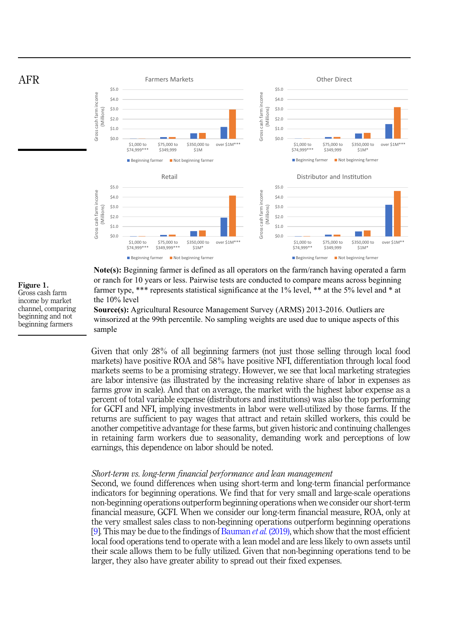<span id="page-11-0"></span>

**Note(s):** Beginning farmer is defined as all operators on the farm/ranch having operated a farm or ranch for 10 years or less. Pairwise tests are conducted to compare means across beginning farmer type, \*\*\* represents statistical significance at the 1% level, \*\* at the 5% level and \* at the 10% level

**Source(s):** Agricultural Resource Management Survey (ARMS) 2013-2016. Outliers are winsorized at the 99th percentile. No sampling weights are used due to unique aspects of this sample

Given that only 28% of all beginning farmers (not just those selling through local food markets) have positive ROA and 58% have positive NFI, differentiation through local food markets seems to be a promising strategy. However, we see that local marketing strategies are labor intensive (as illustrated by the increasing relative share of labor in expenses as farms grow in scale). And that on average, the market with the highest labor expense as a percent of total variable expense (distributors and institutions) was also the top performing for GCFI and NFI, implying investments in labor were well-utilized by those farms. If the returns are sufficient to pay wages that attract and retain skilled workers, this could be another competitive advantage for these farms, but given historic and continuing challenges in retaining farm workers due to seasonality, demanding work and perceptions of low earnings, this dependence on labor should be noted.

#### Short-term vs. long-term financial performance and lean management

Second, we found differences when using short-term and long-term financial performance indicators for beginning operations. We find that for very small and large-scale operations non-beginning operations outperform beginning operations when we consider our short-term financial measure, GCFI. When we consider our long-term financial measure, ROA, only at the very smallest sales class to non-beginning operations outperform beginning operations [[9](#page-15-0)]. This may be due to the findings of [Bauman](#page-15-0) *et al.* (2019), which show that the most efficient local food operations tend to operate with a lean model and are less likely to own assets until their scale allows them to be fully utilized. Given that non-beginning operations tend to be larger, they also have greater ability to spread out their fixed expenses.

Figure 1. Gross cash farm income by market channel, comparing beginning and not beginning farmers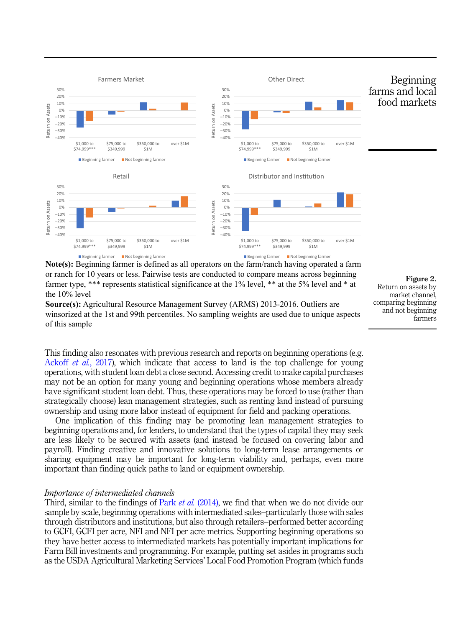<span id="page-12-0"></span>

**Note(s):** Beginning farmer is defined as all operators on the farm/ranch having operated a farm or ranch for 10 years or less. Pairwise tests are conducted to compare means across beginning farmer type, \*\*\* represents statistical significance at the 1% level, \*\* at the 5% level and \* at the 10% level

**Source(s):** Agricultural Resource Management Survey (ARMS) 2013-2016. Outliers are winsorized at the 1st and 99th percentiles. No sampling weights are used due to unique aspects of this sample

Figure 2. Return on assets by market channel, comparing beginning and not beginning farmers

This finding also resonates with previous research and reports on beginning operations (e.g. [Ackoff](#page-15-0) *et al.*, 2017), which indicate that access to land is the top challenge for young operations, with student loan debt a close second. Accessing credit to make capital purchases may not be an option for many young and beginning operations whose members already have significant student loan debt. Thus, these operations may be forced to use (rather than strategically choose) lean management strategies, such as renting land instead of pursuing ownership and using more labor instead of equipment for field and packing operations.

One implication of this finding may be promoting lean management strategies to beginning operations and, for lenders, to understand that the types of capital they may seek are less likely to be secured with assets (and instead be focused on covering labor and payroll). Finding creative and innovative solutions to long-term lease arrangements or sharing equipment may be important for long-term viability and, perhaps, even more important than finding quick paths to land or equipment ownership.

#### Importance of intermediated channels

Third, similar to the findings of Park *et al.* [\(2014\),](#page-16-0) we find that when we do not divide our sample by scale, beginning operations with intermediated sales–particularly those with sales through distributors and institutions, but also through retailers–performed better according to GCFI, GCFI per acre, NFI and NFI per acre metrics. Supporting beginning operations so they have better access to intermediated markets has potentially important implications for Farm Bill investments and programming. For example, putting set asides in programs such as the USDA Agricultural Marketing Services' Local Food Promotion Program (which funds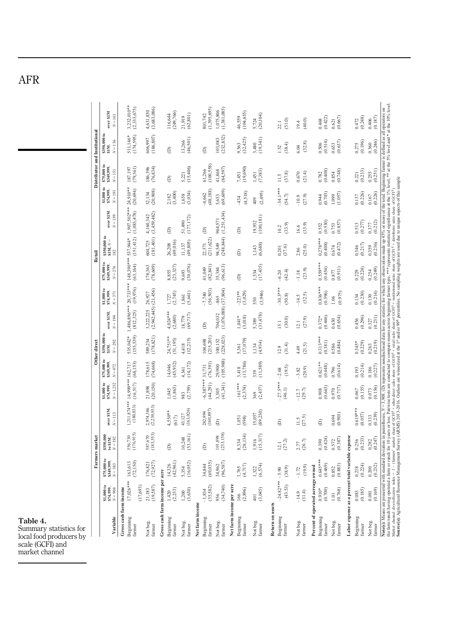<span id="page-13-0"></span>AFR

| nary statistics for<br>food producers by                                                                                                                                                                                                    |                                                  |                                           |                                      |                                |                                      |                                          | Other direct                              |                                       |                                          |                                           | Retail                                    |                                                    |                                          | Distributor and Institutional            |                                                 |                                              |
|---------------------------------------------------------------------------------------------------------------------------------------------------------------------------------------------------------------------------------------------|--------------------------------------------------|-------------------------------------------|--------------------------------------|--------------------------------|--------------------------------------|------------------------------------------|-------------------------------------------|---------------------------------------|------------------------------------------|-------------------------------------------|-------------------------------------------|----------------------------------------------------|------------------------------------------|------------------------------------------|-------------------------------------------------|----------------------------------------------|
|                                                                                                                                                                                                                                             | \$1,000 to                                       | \$75,000 to                               | \$350,000<br>Farmers market          |                                | \$1,000 to<br>\$74,999,              | \$75,000 to                              | \$350,000 to                              |                                       | \$1,000 to                               | \$75,000 to<br>\$349,999,                 | \$350,000 to                              |                                                    | \$1,000 to                               | \$75,000 to                              | \$350,000 to                                    |                                              |
| Variable                                                                                                                                                                                                                                    | \$74,999,<br>$N = 904$                           | $$349,999, N = 383$                       | to S1M,<br>$N = 192$                 | over SIM<br>$N = 113$          | $N = 1,232$                          | \$349,999<br>$N = 472$                   | $N = 292$<br>SIM.                         | over SIM,<br>$N = 194$                | S74,999,<br>$N = 371$                    | $N = 276$                                 | $SIM, N =$<br>182                         | over SIM<br>$N = 159$                              | \$74,999,<br>$N = 191$                   | \$349,999<br>$N = 151$                   | $N = 136$<br>SIM,                               | over SIM<br>$N=161$                          |
| Gross cash farm income<br>Beginning<br>farmer                                                                                                                                                                                               | 17,026***<br>(17, 693)                           | (72, 150)<br>163,613                      | 556,730<br>(176,915)                 | $.211,874***$<br>(180, 833)    | 14,999***<br>(16, 517)               | (68, 153)<br>162,717                     | 535,042*<br>(155,539)                     | (812,325)                             | 1,486,896*** 20,733***<br>(19,976)       | 148,390***<br>(63, 164)                   | (151, 412)<br>537,944*                    | 1,907,502***<br>(1,083,478)                        | 24,910**<br>(20, 694)                    | 187,197<br>(79,361)                      | (174, 595)<br>511,146*                          | 3,232,010**<br>(2,333,675)                   |
| Not beg.<br>farmer                                                                                                                                                                                                                          | (19, 587)<br>21,183                              | (72, 927)<br>176,821                      | 587,670<br>(183,553)                 | 2,974,386<br>(2,239,933)       | 21,898<br>(20,150)                   | 178,615<br>(74,668)                      | (178, 821)<br>589,234                     | $(2,942,445)$ $(21,456)$<br>3,222,225 | 26,927                                   | 178,363<br>(78,609)                       | 604,725<br>(181,401)                      | $4,160,342$<br>$(3,459,482)$                       | 32,134<br>(20,908)                       | 186,396<br>(76,834)                      | (186, 807)<br>606,997                           | $4,631,830$<br>$(3,683,086)$                 |
| Gross cash farm income per acre<br>Beginning<br>farmer                                                                                                                                                                                      | $1,420$<br>$(2,233)$                             | $14,326$<br>$(42,961)$                    | â                                    | $4,550**$<br>(617)             | $1,045$<br>$(1,863)$                 | 14,046<br>(45,932)                       | 24,751**<br>(51, 195)                     | $4,024***$<br>(2,680)                 | $1,727$<br>(2,745)                       | 8,855<br>(23,327)                         | 26,208<br>(49,016)                        | ê                                                  | 2,182<br>(3,400)                         | ê                                        | ê                                               | (249, 766)<br>16,644                         |
| Not beg.<br>farmer                                                                                                                                                                                                                          | (3, 630)<br>1,200                                | (16, 052)<br>5,354                        | (53, 161)<br>10,248                  | (163, 026)<br>43,127           | (2,759)<br>983                       | (14, 172)<br>4,341                       | (12,215)<br>4,418                         | (69,717)<br>18,779                    | $1,861$<br>$(5,661)$                     | (30,076)<br>9,693                         | (49, 805)<br>11,137                       | (177, 172)<br>51,490                               | (3,034)<br>1,658                         | 5,221<br>(15,406)                        | 13,266<br>(46,501)                              | (62, 801)<br>21,919                          |
| Net farm income                                                                                                                                                                                                                             |                                                  |                                           |                                      |                                |                                      |                                          |                                           |                                       |                                          |                                           |                                           |                                                    |                                          |                                          |                                                 |                                              |
| Beginning<br>farmer                                                                                                                                                                                                                         | (35, 582)<br>$-1,834$                            | (69, 035)<br>34,844                       | â                                    | (160, 897)<br>282,994          | $-6.387***$<br>(44,291)              | $31,731$<br>$(76,391)$                   | (215,201)<br>104,698                      | ê                                     | $-7,740$<br>(56,503)                     | (82, 841)<br>41,049                       | (211, 622)<br>22,571                      | $\widehat{e}$                                      | (48, 188)<br>$-4,662$                    | 61,266<br>(100,558)                      | ê                                               | (1,395,695)<br>801,742                       |
| 956<br>Not beg.<br>farmer                                                                                                                                                                                                                   | (34,740)                                         | (96, 587)<br>34,962                       | (233, 158)<br>101,898                | ê                              | (41,341)<br>3,505                    | (105, 988)<br>29,900                     | $100,152$<br>$(228,023)$                  | $(1,076,088)$ $(37,804)$<br>704,032   | $-865$                                   | (96, 613)<br>35,384                       | (248, 844)<br>94,549                      | (1,251,434)<br>964,571                             | 5,653<br>(69,609)                        | (84, 597)<br>41,868                      | (232, 832)<br>103,083                           | (1,381,085)<br>1,075,806                     |
| Net farm income per acre<br>Beginning<br>farmer                                                                                                                                                                                             | $\frac{166}{(2,896)}$                            | $1,765$<br>(4,717)                        | (28, 134)<br>8,334                   | (598)<br>1,051                 | $-161***$<br>(2,374)                 | 3,418<br>(13,786)                        | (17,079)<br>5,361                         | (3,018)<br>1,041*                     | (3,029)<br>$-223**$                      | $\widehat{e}$                             | $\widehat{e}$                             | ê                                                  | (4,518)<br>$-434$                        | (19, 690)<br>7,451                       | (32, 425)<br>9,563                              | (104, 655)<br>46,559                         |
| $rac{1}{2}$<br>Not beg.<br>farmer                                                                                                                                                                                                           | (3,045)                                          | $1,322$<br>(6,574)                        | $1,916$<br>(15,317)                  | (89,230)<br>15,057             | (2,437)<br>369                       | (11, 589)<br>339                         | 1,134<br>(4,934)                          | $5,389$<br>$(31,478)$                 | (3,946)<br>550                           | $1,534$<br>(17,435)                       | $1,143$<br>(6,688)                        | (100, 181)<br>19,932                               | (2,495)<br>409                           | $1,451$<br>(7,383)                       | $3,480$<br>(19,341)                             | $5,724$<br>(20,104)                          |
| Return on assets<br>Beginning<br>farmer                                                                                                                                                                                                     | $-24.82***$<br>(43.53)                           | (38.9)<br>$-5.90$                         | $12.1$<br>(27.2)                     | â                              | $27.5***$<br>(46.1)                  | (19.5)<br>$-2.68$                        | (31.4)<br>12.9                            | (30.0)<br>$\overline{51}$             | $-30.3***$<br>(50.8)                     | (42.4)<br>$-6.20$                         | (37.6)<br>0.201                           | (33.9)<br>10.2                                     | 34.1***<br>(54.7)                        | (37.8)<br>11.5                           | (38.4)<br>1.52                                  | (51.0)<br>22.1                               |
| Not beg.<br>farmer                                                                                                                                                                                                                          | (31.4)<br>$-14.9$                                | (19.9)<br>$-1.72$                         | $2.77$<br>(26.7)                     | (27.5)<br>$\frac{1}{2}$        | (29.7)<br>12.7                       | (20.9)<br>$-3.82$                        | (21.5)<br>4.49                            | (27.9)<br>$\overline{2.1}$            | (32.5)<br>$-14.5$                        | (23.9)<br>$-1.18$                         | (25.0)<br>2.86                            | (33.9)<br>16.6                                     | (27.9)<br>$-10.9$                        | (21.4)<br>0.670                          | (32.8)<br>6.04                                  | (40.0)<br>19.4                               |
| Percent of operated acreage owned<br>Beginning<br>Not beg.<br>farmer<br>farmer                                                                                                                                                              | (0.700)<br>(0.768)<br>$0.910*$<br>$\overline{a}$ | $0.645***$<br>(0.469)<br>(0.883)<br>0.852 | (0.387)<br>(0.424)<br>0.390<br>0.572 | (0.901)<br>0.694<br>Â          | (0.663)<br>(0.717)<br>0.970<br>0.908 | $0.621**$<br>(0.448)<br>(0.614)<br>0.796 | $0.313***$<br>(0.381)<br>(0.484)<br>0.586 | $0.372*$<br>$(0.446)$<br>(0.630)      | $0.836***$<br>(0.596)<br>(0.975)<br>1.06 | $0.559***$<br>(0.454)<br>(0.911)<br>0.877 | $0.278***$<br>(0.408)<br>(0.472)<br>0.674 | $\frac{0.552}{(0.530)}$<br>$\frac{0.753}{(0.857)}$ | $0.944$<br>$(0.703)$<br>(1.057)<br>1.099 | $0.782$<br>$(0.408)$<br>(0.748)<br>0.854 | $0.506$<br>$(0.514)$<br>$\frac{0.653}{(0.637)}$ | $0.621$<br>$(0.667)$<br>$0.468$<br>$(0.422)$ |
|                                                                                                                                                                                                                                             |                                                  |                                           |                                      |                                |                                      |                                          |                                           |                                       |                                          |                                           |                                           |                                                    |                                          |                                          |                                                 |                                              |
| Labor expense as a percent total variable expense<br>Beginning<br>Not beg.<br>farmer                                                                                                                                                        | (0.185)<br>0.083<br>0.081                        | $0.218$<br>$(0.224)$<br>0.200             | (0.233)<br>0.256<br>0.282            | $0.619***$<br>(0.057)<br>0.333 | (0.155)<br>0.073<br>0.067            | (0.214)<br>0.186<br>0.193                | (0.229)<br>$0.345*$<br>0.263              | $0.456$<br>$(0.296)$<br>0.327         | $0.134$<br>$(0.230)$<br>0.130            | (0.224)<br>0.254<br>0.229                 | (0.217)<br>0.346<br>0.359                 | (0.277)<br>0.377<br>0.513                          | $0.137$<br>$(0.226)$<br>0.167            | (0.233)<br>0.255<br>0.221                | $0.275$<br>$(0.196)$<br>0.360                   | $0.472$<br>$(0.248)$<br>0.406                |
| Note(s): Means are presented with sandard deviation in parentheses, N = 3,908. (D) represents notabled at far any year in the involver aris made up 45% or nove of the total Beginning famer is defined as all operators on<br>th<br>farmer | (0.169)                                          | (0.232)                                   | (0.247)                              | (0.239)                        | (0.156)                              | (0.227)                                  | (0.219)                                   | (0.231)                               | (0.214)                                  | (0.249)                                   | (0.236)                                   | (0.212)                                            | (0.226)                                  | (0.251)                                  | (0.246)                                         | (0.187)                                      |

Table 4.<br>Summa Summary statistics for local food producers by scale (GCFI) and market channel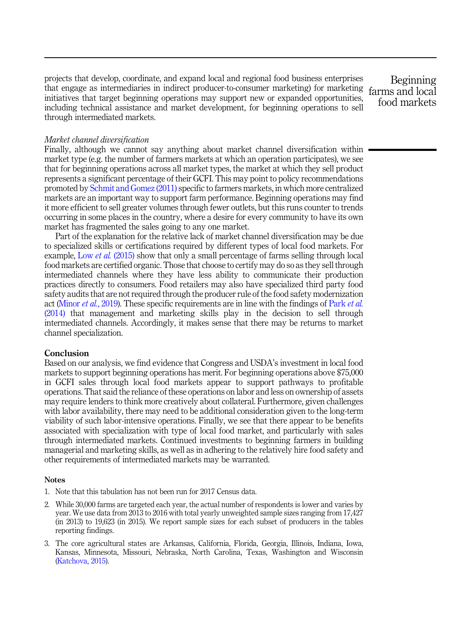<span id="page-14-0"></span>projects that develop, coordinate, and expand local and regional food business enterprises that engage as intermediaries in indirect producer-to-consumer marketing) for marketing farms and local initiatives that target beginning operations may support new or expanded opportunities, including technical assistance and market development, for beginning operations to sell through intermediated markets.

Beginning food markets

#### Market channel diversification

Finally, although we cannot say anything about market channel diversification within market type (e.g. the number of farmers markets at which an operation participates), we see that for beginning operations across all market types, the market at which they sell product represents a significant percentage of their GCFI. This may point to policy recommendations promoted by [Schmit and Gomez \(2011\)](#page-16-0) specific to farmers markets, in which more centralized markets are an important way to support farm performance. Beginning operations may find it more efficient to sell greater volumes through fewer outlets, but this runs counter to trends occurring in some places in the country, where a desire for every community to have its own market has fragmented the sales going to any one market.

Part of the explanation for the relative lack of market channel diversification may be due to specialized skills or certifications required by different types of local food markets. For example, Low et al. [\(2015\)](#page-16-0) show that only a small percentage of farms selling through local food markets are certified organic. Those that choose to certify may do so as they sell through intermediated channels where they have less ability to communicate their production practices directly to consumers. Food retailers may also have specialized third party food safety audits that are not required through the producer rule of the food safety modernization act ([Minor](#page-16-0) et al., 2019). These specific requirements are in line with the findings of [Park](#page-16-0) et al. [\(2014\)](#page-16-0) that management and marketing skills play in the decision to sell through intermediated channels. Accordingly, it makes sense that there may be returns to market channel specialization.

#### **Conclusion**

Based on our analysis, we find evidence that Congress and USDA's investment in local food markets to support beginning operations has merit. For beginning operations above \$75,000 in GCFI sales through local food markets appear to support pathways to profitable operations. That said the reliance of these operations on labor and less on ownership of assets may require lenders to think more creatively about collateral. Furthermore, given challenges with labor availability, there may need to be additional consideration given to the long-term viability of such labor-intensive operations. Finally, we see that there appear to be benefits associated with specialization with type of local food market, and particularly with sales through intermediated markets. Continued investments to beginning farmers in building managerial and marketing skills, as well as in adhering to the relatively hire food safety and other requirements of intermediated markets may be warranted.

#### **Notes**

- 1. Note that this tabulation has not been run for 2017 Census data.
- 2. While 30,000 farms are targeted each year, the actual number of respondents is lower and varies by year. We use data from 2013 to 2016 with total yearly unweighted sample sizes ranging from 17,427 (in 2013) to 19,623 (in 2015). We report sample sizes for each subset of producers in the tables reporting findings.
- 3. The core agricultural states are Arkansas, California, Florida, Georgia, Illinois, Indiana, Iowa, Kansas, Minnesota, Missouri, Nebraska, North Carolina, Texas, Washington and Wisconsin [\(Katchova, 2015\)](#page-16-0).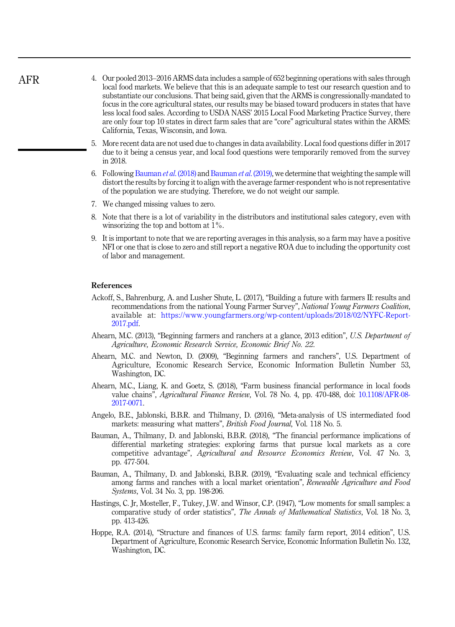| 4. Our pooled 2013–2016 ARMS data includes a sample of 652 beginning operations with sales through    |
|-------------------------------------------------------------------------------------------------------|
| local food markets. We believe that this is an adequate sample to test our research question and to   |
| substantiate our conclusions. That being said, given that the ARMS is congressionally-mandated to     |
| focus in the core agricultural states, our results may be biased toward producers in states that have |
| less local food sales. According to USDA NASS' 2015 Local Food Marketing Practice Survey, there       |
| are only four top 10 states in direct farm sales that are "core" agricultural states within the ARMS: |
| California, Texas, Wisconsin, and Iowa.                                                               |

- 5. More recent data are not used due to changes in data availability. Local food questions differ in 2017 due to it being a census year, and local food questions were temporarily removed from the survey in 2018.
- 6. Following Bauman *et al.* (2018) and Bauman *et al.* (2019), we determine that weighting the sample will distort the results by forcing it to align with the average farmer-respondent who is not representative of the population we are studying. Therefore, we do not weight our sample.
- 7. We changed missing values to zero.
- 8. Note that there is a lot of variability in the distributors and institutional sales category, even with winsorizing the top and bottom at 1%.
- 9. It is important to note that we are reporting averages in this analysis, so a farm may have a positive NFI or one that is close to zero and still report a negative ROA due to including the opportunity cost of labor and management.

#### References

<span id="page-15-0"></span>AFR

- Ackoff, S., Bahrenburg, A. and Lusher Shute, L. (2017), "Building a future with farmers II: results and recommendations from the national Young Farmer Survey", National Young Farmers Coalition, available at: [https://www.youngfarmers.org/wp-content/uploads/2018/02/NYFC-Report-](https://www.youngfarmers.org/wp-content/uploads/2018/02/NYFC-Report-2017.pdf)[2017.pdf](https://www.youngfarmers.org/wp-content/uploads/2018/02/NYFC-Report-2017.pdf).
- Ahearn, M.C. (2013), "Beginning farmers and ranchers at a glance, 2013 edition", U.S. Department of Agriculture, Economic Research Service, Economic Brief No. 22.
- Ahearn, M.C. and Newton, D. (2009), "Beginning farmers and ranchers", U.S. Department of Agriculture, Economic Research Service, Economic Information Bulletin Number 53, Washington, DC.
- Ahearn, M.C., Liang, K. and Goetz, S. (2018), "Farm business financial performance in local foods value chains", Agricultural Finance Review, Vol. 78 No. 4, pp. 470-488, doi: [10.1108/AFR-08-](https://doi.org/10.1108/AFR-08-2017-0071) [2017-0071.](https://doi.org/10.1108/AFR-08-2017-0071)
- Angelo, B.E., Jablonski, B.B.R. and Thilmany, D. (2016), "Meta-analysis of US intermediated food markets: measuring what matters", *British Food Journal*, Vol. 118 No. 5.
- Bauman, A., Thilmany, D. and Jablonski, B.B.R. (2018), "The financial performance implications of differential marketing strategies: exploring farms that pursue local markets as a core competitive advantage", Agricultural and Resource Economics Review, Vol. 47 No. 3, pp. 477-504.
- Bauman, A., Thilmany, D. and Jablonski, B.B.R. (2019), "Evaluating scale and technical efficiency among farms and ranches with a local market orientation", Renewable Agriculture and Food Systems, Vol. 34 No. 3, pp. 198-206.
- Hastings, C. Jr, Mosteller, F., Tukey, J.W. and Winsor, C.P. (1947), "Low moments for small samples: a comparative study of order statistics", The Annals of Mathematical Statistics, Vol. 18 No. 3, pp. 413-426.
- Hoppe, R.A. (2014), "Structure and finances of U.S. farms: family farm report, 2014 edition", U.S. Department of Agriculture, Economic Research Service, Economic Information Bulletin No. 132, Washington, DC.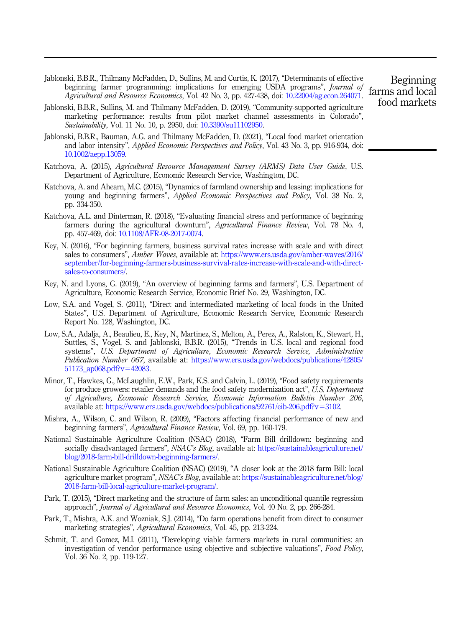- <span id="page-16-0"></span>Jablonski, B.B.R., Thilmany McFadden, D., Sullins, M. and Curtis, K. (2017), "Determinants of effective beginning farmer programming: implications for emerging USDA programs", Journal of Agricultural and Resource Economics, Vol. 42 No. 3, pp. 427-438, doi: [10.22004/ag.econ.264071](https://doi.org/10.22004/ag.econ.264071).
- Jablonski, B.B.R., Sullins, M. and Thilmany McFadden, D. (2019), "Community-supported agriculture marketing performance: results from pilot market channel assessments in Colorado", Sustainability, Vol. 11 No. 10, p. 2950, doi: [10.3390/su11102950.](https://doi.org/10.3390/su11102950)
- Jablonski, B.B.R., Bauman, A.G. and Thilmany McFadden, D. (2021), "Local food market orientation and labor intensity", Applied Economic Perspectives and Policy, Vol. 43 No. 3, pp. 916-934, doi: [10.1002/aepp.13059.](https://doi.org/10.1002/aepp.13059)
- Katchova, A. (2015), Agricultural Resource Management Survey (ARMS) Data User Guide. U.S. Department of Agriculture, Economic Research Service, Washington, DC.
- Katchova, A. and Ahearn, M.C. (2015), "Dynamics of farmland ownership and leasing: implications for young and beginning farmers", Applied Economic Perspectives and Policy, Vol. 38 No. 2, pp. 334-350.
- Katchova, A.L. and Dinterman, R. (2018), "Evaluating financial stress and performance of beginning farmers during the agricultural downturn", Agricultural Finance Review, Vol. 78 No. 4, pp. 457-469, doi: [10.1108/AFR-08-2017-0074.](https://doi.org/10.1108/AFR-08-2017-0074)
- Key, N. (2016), "For beginning farmers, business survival rates increase with scale and with direct sales to consumers", Amber Waves, available at: [https://www.ers.usda.gov/amber-waves/2016/](https://www.ers.usda.gov/amber-waves/2016/september/for-beginning-farmers-business-survival-rates-increase-with-scale-and-with-direct-sales-to-consumers/) [september/for-beginning-farmers-business-survival-rates-increase-with-scale-and-with-direct](https://www.ers.usda.gov/amber-waves/2016/september/for-beginning-farmers-business-survival-rates-increase-with-scale-and-with-direct-sales-to-consumers/)[sales-to-consumers/](https://www.ers.usda.gov/amber-waves/2016/september/for-beginning-farmers-business-survival-rates-increase-with-scale-and-with-direct-sales-to-consumers/).
- Key, N. and Lyons, G. (2019), "An overview of beginning farms and farmers", U.S. Department of Agriculture, Economic Research Service, Economic Brief No. 29, Washington, DC.
- Low, S.A. and Vogel, S. (2011), "Direct and intermediated marketing of local foods in the United States", U.S. Department of Agriculture, Economic Research Service, Economic Research Report No. 128, Washington, DC.
- Low, S.A., Adalja, A., Beaulieu, E., Key, N., Martinez, S., Melton, A., Perez, A., Ralston, K., Stewart, H., Suttles, S., Vogel, S. and Jablonski, B.B.R. (2015), "Trends in U.S. local and regional food systems", U.S. Department of Agriculture, Economic Research Service, Administrative Publication Number 067, available at: [https://www.ers.usda.gov/webdocs/publications/42805/](https://www.ers.usda.gov/webdocs/publications/42805/51173_ap068.pdf?v=42083) [51173\\_ap068.pdf?v](https://www.ers.usda.gov/webdocs/publications/42805/51173_ap068.pdf?v=42083)=[42083.](https://www.ers.usda.gov/webdocs/publications/42805/51173_ap068.pdf?v=42083)
- Minor, T., Hawkes, G., McLaughlin, E.W., Park, K.S. and Calvin, L. (2019), "Food safety requirements for produce growers: retailer demands and the food safety modernization act", U.S. Department of Agriculture, Economic Research Service, Economic Information Bulletin Number 206, available at: [https://www.ers.usda.gov/webdocs/publications/92761/eib-206.pdf?v](https://www.ers.usda.gov/webdocs/publications/92761/eib-206.pdf?v=3102)=[3102.](https://www.ers.usda.gov/webdocs/publications/92761/eib-206.pdf?v=3102)
- Mishra, A., Wilson, C. and Wilson, R. (2009), "Factors affecting financial performance of new and beginning farmers", Agricultural Finance Review, Vol. 69, pp. 160-179.
- National Sustainable Agriculture Coalition (NSAC) (2018), "Farm Bill drilldown: beginning and socially disadvantaged farmers", NSAC's Blog, available at: [https://sustainableagriculture.net/](https://sustainableagriculture.net/blog/2018-farm-bill-drilldown-beginning-farmers/) [blog/2018-farm-bill-drilldown-beginning-farmers/](https://sustainableagriculture.net/blog/2018-farm-bill-drilldown-beginning-farmers/).
- National Sustainable Agriculture Coalition (NSAC) (2019), "A closer look at the 2018 farm Bill: local agriculture market program", NSAC's Blog, available at: [https://sustainableagriculture.net/blog/](https://sustainableagriculture.net/blog/2018-farm-bill-local-agriculture-market-program/) [2018-farm-bill-local-agriculture-market-program/.](https://sustainableagriculture.net/blog/2018-farm-bill-local-agriculture-market-program/)
- Park, T. (2015), "Direct marketing and the structure of farm sales: an unconditional quantile regression approach", Journal of Agricultural and Resource Economics, Vol. 40 No. 2, pp. 266-284.
- Park, T., Mishra, A.K. and Wozniak, S.J. (2014), "Do farm operations benefit from direct to consumer marketing strategies", Agricultural Economics, Vol. 45, pp. 213-224.
- Schmit, T. and Gomez, M.I. (2011), "Developing viable farmers markets in rural communities: an investigation of vendor performance using objective and subjective valuations", Food Policy, Vol. 36 No. 2, pp. 119-127.

Beginning farms and local food markets